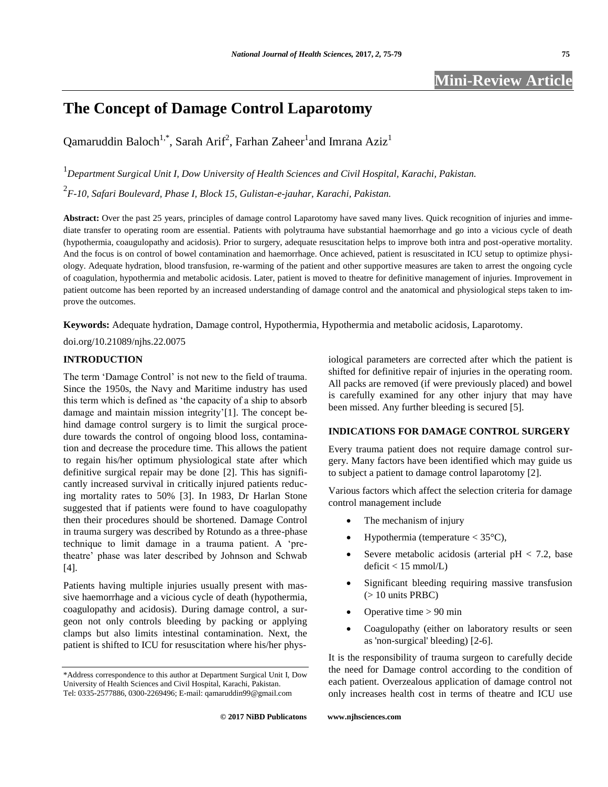# **The Concept of Damage Control Laparotomy**

Qamaruddin Baloch<sup>1,\*</sup>, Sarah Arif<sup>2</sup>, Farhan Zaheer<sup>1</sup>and Imrana Aziz<sup>1</sup>

1 *Department Surgical Unit I, Dow University of Health Sciences and Civil Hospital, Karachi, Pakistan.* 2 *F-10, Safari Boulevard, Phase I, Block 15, Gulistan-e-jauhar, Karachi, Pakistan.*

**Abstract:** Over the past 25 years, principles of damage control Laparotomy have saved many lives. Quick recognition of injuries and immediate transfer to operating room are essential. Patients with polytrauma have substantial haemorrhage and go into a vicious cycle of death (hypothermia, coaugulopathy and acidosis). Prior to surgery, adequate resuscitation helps to improve both intra and post-operative mortality. And the focus is on control of bowel contamination and haemorrhage. Once achieved, patient is resuscitated in ICU setup to optimize physiology. Adequate hydration, blood transfusion, re-warming of the patient and other supportive measures are taken to arrest the ongoing cycle of coagulation, hypothermia and metabolic acidosis. Later, patient is moved to theatre for definitive management of injuries. Improvement in patient outcome has been reported by an increased understanding of damage control and the anatomical and physiological steps taken to improve the outcomes.

**Keywords:** Adequate hydration, Damage control, Hypothermia, Hypothermia and metabolic acidosis, Laparotomy.

## doi.org/10.21089/njhs.22.0075

## **INTRODUCTION**

The term 'Damage Control' is not new to the field of trauma. Since the 1950s, the Navy and Maritime industry has used this term which is defined as 'the capacity of a ship to absorb damage and maintain mission integrity'[1]. The concept behind damage control surgery is to limit the surgical procedure towards the control of ongoing blood loss, contamination and decrease the procedure time. This allows the patient to regain his/her optimum physiological state after which definitive surgical repair may be done [2]. This has significantly increased survival in critically injured patients reducing mortality rates to 50% [3]. In 1983, Dr Harlan Stone suggested that if patients were found to have coagulopathy then their procedures should be shortened. Damage Control in trauma surgery was described by Rotundo as a three-phase technique to limit damage in a trauma patient. A 'pretheatre' phase was later described by Johnson and Schwab [4].

Patients having multiple injuries usually present with massive haemorrhage and a vicious cycle of death (hypothermia, coagulopathy and acidosis). During damage control, a surgeon not only controls bleeding by packing or applying clamps but also limits intestinal contamination. Next, the patient is shifted to ICU for resuscitation where his/her physiological parameters are corrected after which the patient is shifted for definitive repair of injuries in the operating room. All packs are removed (if were previously placed) and bowel is carefully examined for any other injury that may have been missed. Any further bleeding is secured [5].

# **INDICATIONS FOR DAMAGE CONTROL SURGERY**

Every trauma patient does not require damage control surgery. Many factors have been identified which may guide us to subject a patient to damage control laparotomy [2].

Various factors which affect the selection criteria for damage control management include

- The mechanism of injury
- Hypothermia (temperature  $<$  35 $^{\circ}$ C),
- Severe metabolic acidosis (arterial  $pH < 7.2$ , base  $deficit < 15$  mmol/L)
- Significant bleeding requiring massive transfusion (> 10 units PRBC)
- Operative time > 90 min
- Coagulopathy (either on laboratory results or seen as 'non-surgical' bleeding) [2-6].

It is the responsibility of trauma surgeon to carefully decide the need for Damage control according to the condition of each patient. Overzealous application of damage control not only increases health cost in terms of theatre and ICU use

<sup>\*</sup>Address correspondence to this author at Department Surgical Unit I, Dow University of Health Sciences and Civil Hospital, Karachi, Pakistan. Tel: 0335-2577886, 0300-2269496; E-mail: qamaruddin99@gmail.com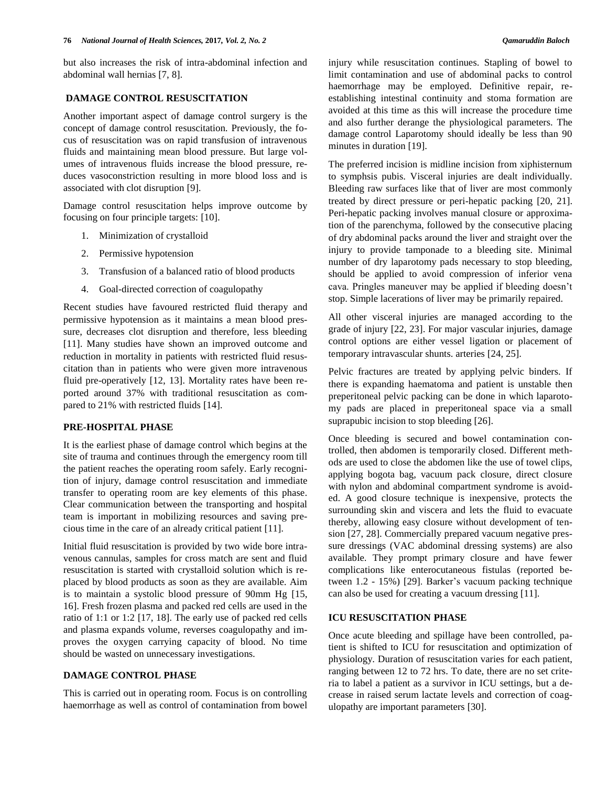but also increases the risk of intra-abdominal infection and abdominal wall hernias [7, 8].

## **DAMAGE CONTROL RESUSCITATION**

Another important aspect of damage control surgery is the concept of damage control resuscitation. Previously, the focus of resuscitation was on rapid transfusion of intravenous fluids and maintaining mean blood pressure. But large volumes of intravenous fluids increase the blood pressure, reduces vasoconstriction resulting in more blood loss and is associated with clot disruption [9].

Damage control resuscitation helps improve outcome by focusing on four principle targets: [10].

- 1. Minimization of crystalloid
- 2. Permissive hypotension
- 3. Transfusion of a balanced ratio of blood products
- 4. Goal-directed correction of coagulopathy

Recent studies have favoured restricted fluid therapy and permissive hypotension as it maintains a mean blood pressure, decreases clot disruption and therefore, less bleeding [11]. Many studies have shown an improved outcome and reduction in mortality in patients with restricted fluid resuscitation than in patients who were given more intravenous fluid pre-operatively [12, 13]. Mortality rates have been reported around 37% with traditional resuscitation as compared to 21% with restricted fluids [14].

## **PRE-HOSPITAL PHASE**

It is the earliest phase of damage control which begins at the site of trauma and continues through the emergency room till the patient reaches the operating room safely. Early recognition of injury, damage control resuscitation and immediate transfer to operating room are key elements of this phase. Clear communication between the transporting and hospital team is important in mobilizing resources and saving precious time in the care of an already critical patient [11].

Initial fluid resuscitation is provided by two wide bore intravenous cannulas, samples for cross match are sent and fluid resuscitation is started with crystalloid solution which is replaced by blood products as soon as they are available. Aim is to maintain a systolic blood pressure of 90mm Hg [15, 16]. Fresh frozen plasma and packed red cells are used in the ratio of 1:1 or 1:2 [17, 18]. The early use of packed red cells and plasma expands volume, reverses coagulopathy and improves the oxygen carrying capacity of blood. No time should be wasted on unnecessary investigations.

## **DAMAGE CONTROL PHASE**

This is carried out in operating room. Focus is on controlling haemorrhage as well as control of contamination from bowel The preferred incision is midline incision from xiphisternum to symphsis pubis. Visceral injuries are dealt individually. Bleeding raw surfaces like that of liver are most commonly treated by direct pressure or peri-hepatic packing [20, 21]. Peri-hepatic packing involves manual closure or approximation of the parenchyma, followed by the consecutive placing of dry abdominal packs around the liver and straight over the injury to provide tamponade to a bleeding site. Minimal number of dry laparotomy pads necessary to stop bleeding, should be applied to avoid compression of inferior vena cava. Pringles maneuver may be applied if bleeding doesn't stop. Simple lacerations of liver may be primarily repaired.

All other visceral injuries are managed according to the grade of injury [22, 23]. For major vascular injuries, damage control options are either vessel ligation or placement of temporary intravascular shunts. arteries [24, 25].

Pelvic fractures are treated by applying pelvic binders. If there is expanding haematoma and patient is unstable then preperitoneal pelvic packing can be done in which laparotomy pads are placed in preperitoneal space via a small suprapubic incision to stop bleeding [26].

Once bleeding is secured and bowel contamination controlled, then abdomen is temporarily closed. Different methods are used to close the abdomen like the use of towel clips, applying bogota bag, vacuum pack closure, direct closure with nylon and abdominal compartment syndrome is avoided. A good closure technique is inexpensive, protects the surrounding skin and viscera and lets the fluid to evacuate thereby, allowing easy closure without development of tension [27, 28]. Commercially prepared vacuum negative pressure dressings (VAC abdominal dressing systems) are also available. They prompt primary closure and have fewer complications like enterocutaneous fistulas (reported between 1.2 - 15%) [29]. Barker's vacuum packing technique can also be used for creating a vacuum dressing [11].

# **ICU RESUSCITATION PHASE**

Once acute bleeding and spillage have been controlled, patient is shifted to ICU for resuscitation and optimization of physiology. Duration of resuscitation varies for each patient, ranging between 12 to 72 hrs. To date, there are no set criteria to label a patient as a survivor in ICU settings, but a decrease in raised serum lactate levels and correction of coagulopathy are important parameters [30].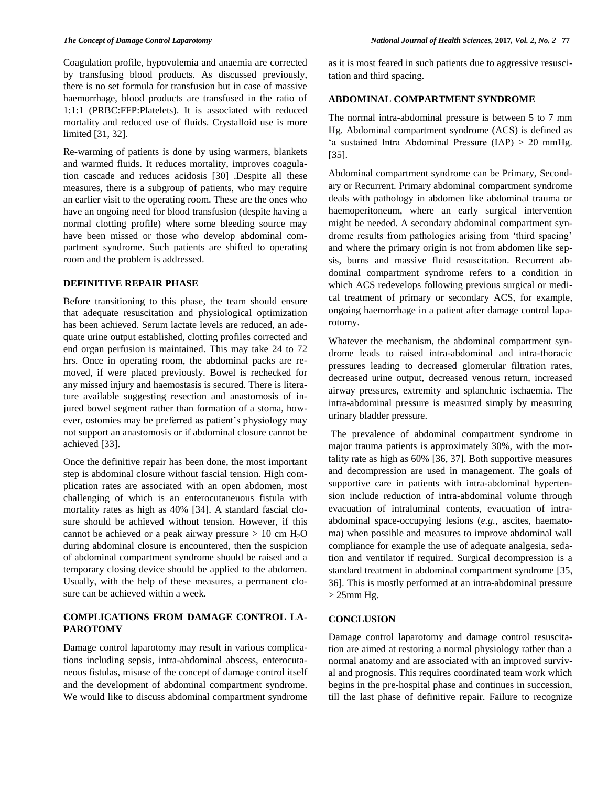Coagulation profile, hypovolemia and anaemia are corrected by transfusing blood products. As discussed previously, there is no set formula for transfusion but in case of massive haemorrhage, blood products are transfused in the ratio of 1:1:1 (PRBC:FFP:Platelets). It is associated with reduced mortality and reduced use of fluids. Crystalloid use is more limited [31, 32].

Re-warming of patients is done by using warmers, blankets and warmed fluids. It reduces mortality, improves coagulation cascade and reduces acidosis [30] .Despite all these measures, there is a subgroup of patients, who may require an earlier visit to the operating room. These are the ones who have an ongoing need for blood transfusion (despite having a normal clotting profile) where some bleeding source may have been missed or those who develop abdominal compartment syndrome. Such patients are shifted to operating room and the problem is addressed.

#### **DEFINITIVE REPAIR PHASE**

Before transitioning to this phase, the team should ensure that adequate resuscitation and physiological optimization has been achieved. Serum lactate levels are reduced, an adequate urine output established, clotting profiles corrected and end organ perfusion is maintained. This may take 24 to 72 hrs. Once in operating room, the abdominal packs are removed, if were placed previously. Bowel is rechecked for any missed injury and haemostasis is secured. There is literature available suggesting resection and anastomosis of injured bowel segment rather than formation of a stoma, however, ostomies may be preferred as patient's physiology may not support an anastomosis or if abdominal closure cannot be achieved [33].

Once the definitive repair has been done, the most important step is abdominal closure without fascial tension. High complication rates are associated with an open abdomen, most challenging of which is an enterocutaneuous fistula with mortality rates as high as 40% [34]. A standard fascial closure should be achieved without tension. However, if this cannot be achieved or a peak airway pressure  $> 10$  cm  $H<sub>2</sub>O$ during abdominal closure is encountered, then the suspicion of abdominal compartment syndrome should be raised and a temporary closing device should be applied to the abdomen. Usually, with the help of these measures, a permanent closure can be achieved within a week.

# **COMPLICATIONS FROM DAMAGE CONTROL LA-PAROTOMY**

Damage control laparotomy may result in various complications including sepsis, intra-abdominal abscess, enterocutaneous fistulas, misuse of the concept of damage control itself and the development of abdominal compartment syndrome. We would like to discuss abdominal compartment syndrome

as it is most feared in such patients due to aggressive resuscitation and third spacing.

## **ABDOMINAL COMPARTMENT SYNDROME**

The normal intra-abdominal pressure is between 5 to 7 mm Hg. Abdominal compartment syndrome (ACS) is defined as 'a sustained Intra Abdominal Pressure (IAP) > 20 mmHg. [35].

Abdominal compartment syndrome can be Primary, Secondary or Recurrent. Primary abdominal compartment syndrome deals with pathology in abdomen like abdominal trauma or haemoperitoneum, where an early surgical intervention might be needed. A secondary abdominal compartment syndrome results from pathologies arising from 'third spacing' and where the primary origin is not from abdomen like sepsis, burns and massive fluid resuscitation. Recurrent abdominal compartment syndrome refers to a condition in which ACS redevelops following previous surgical or medical treatment of primary or secondary ACS, for example, ongoing haemorrhage in a patient after damage control laparotomy.

Whatever the mechanism, the abdominal compartment syndrome leads to raised intra-abdominal and intra-thoracic pressures leading to decreased glomerular filtration rates, decreased urine output, decreased venous return, increased airway pressures, extremity and splanchnic ischaemia. The intra-abdominal pressure is measured simply by measuring urinary bladder pressure.

 The prevalence of abdominal compartment syndrome in major trauma patients is approximately 30%, with the mortality rate as high as 60% [36, 37]. Both supportive measures and decompression are used in management. The goals of supportive care in patients with intra-abdominal hypertension include reduction of intra-abdominal volume through evacuation of intraluminal contents, evacuation of intraabdominal space-occupying lesions (*e.g.*, ascites, haematoma) when possible and measures to improve abdominal wall compliance for example the use of adequate analgesia, sedation and ventilator if required. Surgical decompression is a standard treatment in abdominal compartment syndrome [35, 36]. This is mostly performed at an intra-abdominal pressure  $>$  25mm Hg.

#### **CONCLUSION**

Damage control laparotomy and damage control resuscitation are aimed at restoring a normal physiology rather than a normal anatomy and are associated with an improved survival and prognosis. This requires coordinated team work which begins in the pre-hospital phase and continues in succession, till the last phase of definitive repair. Failure to recognize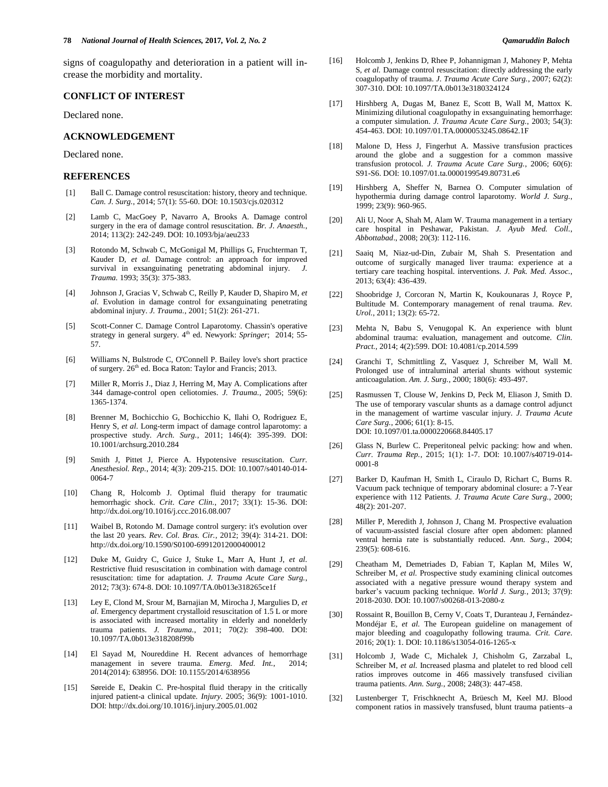signs of coagulopathy and deterioration in a patient will increase the morbidity and mortality.

#### **CONFLICT OF INTEREST**

Declared none.

## **ACKNOWLEDGEMENT**

Declared none.

#### **REFERENCES**

- [1] Ball C. Damage control resuscitation: history, theory and technique. *Can. J. Surg.*, 2014; 57(1): 55-60. DOI[: 10.1503/cjs.020312](https://dx.doi.org/10.1503%2Fcjs.020312)
- [2] Lamb C, MacGoey P, Navarro A, Brooks A. Damage control surgery in the era of damage control resuscitation. *Br. J. Anaesth.*, 2014; 113(2): 242-249. DOI: 10.1093/bja/aeu233
- [3] Rotondo M, Schwab C, McGonigal M, Phillips G, Fruchterman T, Kauder D, *et al.* Damage control: an approach for improved survival in exsanguinating penetrating abdominal injury. *J. Trauma.* 1993; 35(3): 375-383.
- [4] Johnson J, Gracias V, Schwab C, Reilly P, Kauder D, Shapiro M, *et al.* Evolution in damage control for exsanguinating penetrating abdominal injury. *J. Trauma.*, 2001; 51(2): 261-271.
- [5] Scott-Conner C. Damage Control Laparotomy. Chassin's operative strategy in general surgery. 4<sup>th</sup> ed. Newyork: *Springer*; 2014; 55-57.
- [6] Williams N, Bulstrode C, O'Connell P. Bailey love's short practice of surgery.  $26<sup>th</sup>$  ed. Boca Raton: Taylor and Francis; 2013.
- [7] Miller R, Morris J., Diaz J, Herring M, May A. Complications after 344 damage-control open celiotomies. *J. Trauma.*, 2005; 59(6): 1365-1374.
- [8] Brenner M, Bochicchio G, Bochicchio K, Ilahi O, Rodriguez E, Henry S, *et al.* Long-term impact of damage control laparotomy: a prospective study. *Arch. Surg.*, 2011; 146(4): 395-399. DOI: 10.1001/archsurg.2010.284
- [9] Smith J, Pittet J, Pierce A. Hypotensive resuscitation. *Curr. Anesthesiol. Rep.*, 2014; 4(3): 209-215. DOI: 10.1007/s40140-014- 0064-7
- [10] Chang R, Holcomb J. Optimal fluid therapy for traumatic hemorrhagic shock. *Crit*. *Care Clin.*, 2017; 33(1): 15-36. DOI: http://dx.doi.org/10.1016/j.ccc.2016.08.007
- [11] Waibel B, Rotondo M. Damage control surgery: it's evolution over the last 20 years. *Rev. Col. Bras. Cir.*, 2012; 39(4): 314-21. DOI: http://dx.doi.org/10.1590/S0100-69912012000400012
- [12] Duke M, Guidry C, Guice J, Stuke L, Marr A, Hunt J, *et al.* Restrictive fluid resuscitation in combination with damage control resuscitation: time for adaptation. *J. Trauma Acute Care Surg.*, 2012; 73(3): 674-8. DOI: 10.1097/TA.0b013e318265ce1f
- [13] Ley E, Clond M, Srour M, Barnajian M, Mirocha J, Margulies D, *et al.* Emergency department crystalloid resuscitation of 1.5 L or more is associated with increased mortality in elderly and nonelderly trauma patients. *J. Trauma.*, 2011; 70(2): 398-400. DOI: 10.1097/TA.0b013e318208f99b
- [14] El Sayad M, Noureddine H. Recent advances of hemorrhage management in severe trauma. *Emerg. Med. Int.*, 2014; 2014(2014): 638956. DOI[: 10.1155/2014/638956](https://dx.doi.org/10.1155%2F2014%2F638956)
- [15] Søreide E, Deakin C. Pre-hospital fluid therapy in the critically injured patient-a clinical update. *Injury*. 2005; 36(9): 1001-1010. DOI: http://dx.doi.org/10.1016/j.injury.2005.01.002
- [16] Holcomb J, Jenkins D, Rhee P, Johannigman J, Mahoney P, Mehta S, *et al.* Damage control resuscitation: directly addressing the early coagulopathy of trauma. *J. Trauma Acute Care Surg.*, 2007; 62(2): 307-310. DOI: 10.1097/TA.0b013e3180324124
- [17] Hirshberg A, Dugas M, Banez E, Scott B, Wall M, Mattox K. Minimizing dilutional coagulopathy in exsanguinating hemorrhage: a computer simulation. *J. Trauma Acute Care Surg.*, 2003; 54(3): 454-463. DOI: 10.1097/01.TA.0000053245.08642.1F
- [18] Malone D, Hess J, Fingerhut A. Massive transfusion practices around the globe and a suggestion for a common massive transfusion protocol. *J. Trauma Acute Care Surg.*, 2006; 60(6): S91-S6. DOI: 10.1097/01.ta.0000199549.80731.e6
- [19] Hirshberg A, Sheffer N, Barnea O. Computer simulation of hypothermia during damage control laparotomy. *World J. Surg.*, 1999; 23(9): 960-965.
- [20] Ali U, Noor A, Shah M, Alam W. Trauma management in a tertiary care hospital in Peshawar, Pakistan. *J. Ayub Med. Coll.*, *Abbottabad*., 2008; 20(3): 112-116.
- [21] Saaiq M, Niaz-ud-Din, Zubair M, Shah S. Presentation and outcome of surgically managed liver trauma: experience at a tertiary care teaching hospital. interventions. *J. Pak. Med. Assoc.*, 2013; 63(4): 436-439.
- [22] Shoobridge J, Corcoran N, Martin K, Koukounaras J, Royce P, Bultitude M. Contemporary management of renal trauma. *Rev. Urol.*, 2011; 13(2): 65-72.
- [23] Mehta N, Babu S, Venugopal K. An experience with blunt abdominal trauma: evaluation, management and outcome. *Clin. Pract.*, 2014; 4(2):599. DOI: 10.4081/cp.2014.599
- [24] Granchi T, Schmittling Z, Vasquez J, Schreiber M, Wall M. Prolonged use of intraluminal arterial shunts without systemic anticoagulation. *Am. J. Surg.*, 2000; 180(6): 493-497.
- [25] Rasmussen T, Clouse W, Jenkins D, Peck M, Eliason J, Smith D. The use of temporary vascular shunts as a damage control adjunct in the management of wartime vascular injury. *J. Trauma Acute Care Surg.*, 2006; 61(1): 8-15. DOI: 10.1097/01.ta.0000220668.84405.17
- [26] Glass N, Burlew C. Preperitoneal pelvic packing: how and when. *Curr. Trauma Rep.*, 2015; 1(1): 1-7. DOI: 10.1007/s40719-014- 0001-8
- [27] Barker D, Kaufman H, Smith L, Ciraulo D, Richart C, Burns R. Vacuum pack technique of temporary abdominal closure: a 7-Year experience with 112 Patients. *J. Trauma Acute Care Surg.*, 2000; 48(2): 201-207.
- [28] Miller P, Meredith J, Johnson J, Chang M. Prospective evaluation of vacuum-assisted fascial closure after open abdomen: planned ventral hernia rate is substantially reduced. *Ann. Surg.*, 2004; 239(5): 608-616.
- [29] Cheatham M, Demetriades D, Fabian T, Kaplan M, Miles W, Schreiber M, et al. Prospective study examining clinical outcomes associated with a negative pressure wound therapy system and barker's vacuum packing technique. *World J. Surg.*, 2013; 37(9): 2018-2030. DOI: 10.1007/s00268-013-2080-z
- [30] Rossaint R, Bouillon B, Cerny V, Coats T, Duranteau J, Fernández-Mondéjar E, *et al.* The European guideline on management of major bleeding and coagulopathy following trauma. *Crit. Care*. 2016; 20(1): 1. DOI: 10.1186/s13054-016-1265-x
- [31] Holcomb J, Wade C, Michalek J, Chisholm G, Zarzabal L, Schreiber M, *et al.* Increased plasma and platelet to red blood cell ratios improves outcome in 466 massively transfused civilian trauma patients. *Ann. Surg.*, 2008; 248(3): 447-458.
- [32] Lustenberger T, Frischknecht A, Brüesch M, Keel MJ. Blood component ratios in massively transfused, blunt trauma patients–a